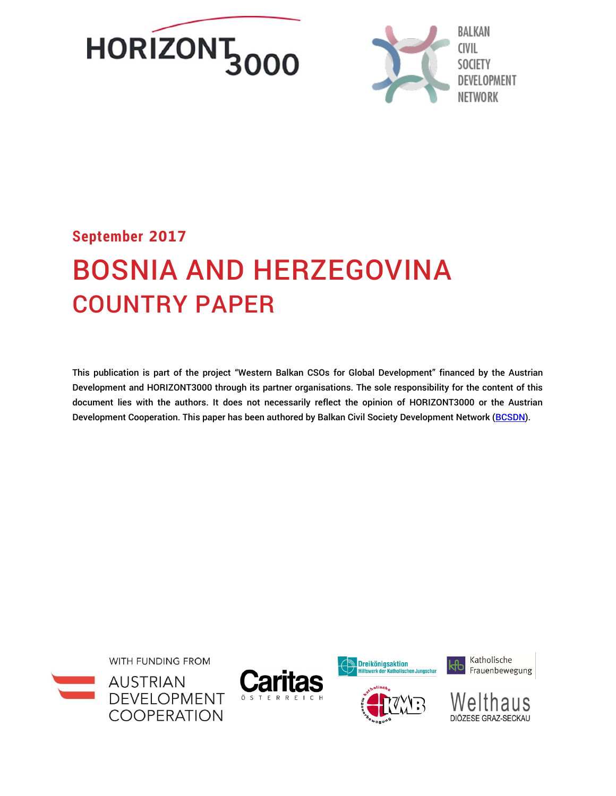



# **September 2017** BOSNIA AND HERZEGOVINA COUNTRY PAPER

This publication is part of the project "Western Balkan CSOs for Global Development" financed by the Austrian Development and HORIZONT3000 through its partner organisations. The sole responsibility for the content of this document lies with the authors. It does not necessarily reflect the opinion of HORIZONT3000 or the Austrian Development Cooperation. This paper has been authored by Balkan Civil Society Development Network [\(BCSDN\)](http://www.balkancsd.net/).









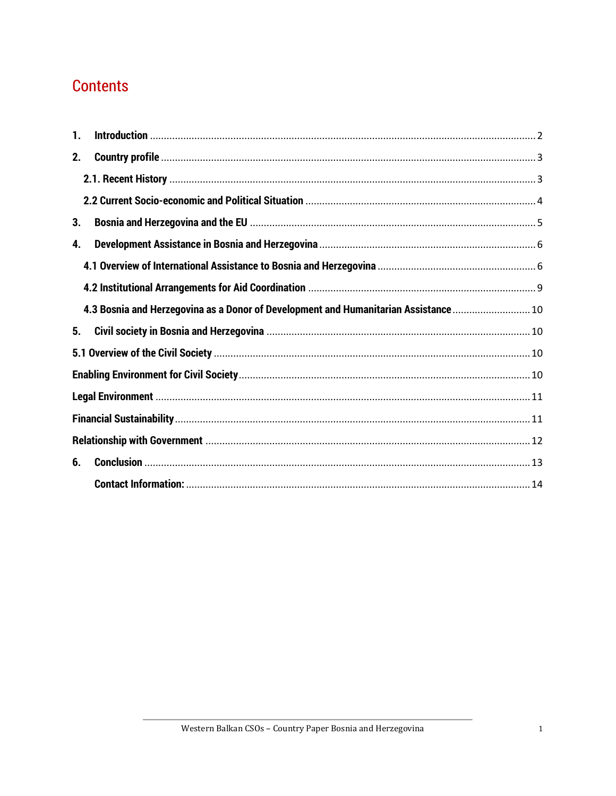## <span id="page-1-0"></span>**Contents**

| 1. |                                                                                      |  |
|----|--------------------------------------------------------------------------------------|--|
| 2. |                                                                                      |  |
|    |                                                                                      |  |
|    |                                                                                      |  |
| 3. |                                                                                      |  |
| 4. |                                                                                      |  |
|    |                                                                                      |  |
|    |                                                                                      |  |
|    | 4.3 Bosnia and Herzegovina as a Donor of Development and Humanitarian Assistance  10 |  |
| 5. |                                                                                      |  |
|    |                                                                                      |  |
|    |                                                                                      |  |
|    |                                                                                      |  |
|    |                                                                                      |  |
|    |                                                                                      |  |
| 6. |                                                                                      |  |
|    |                                                                                      |  |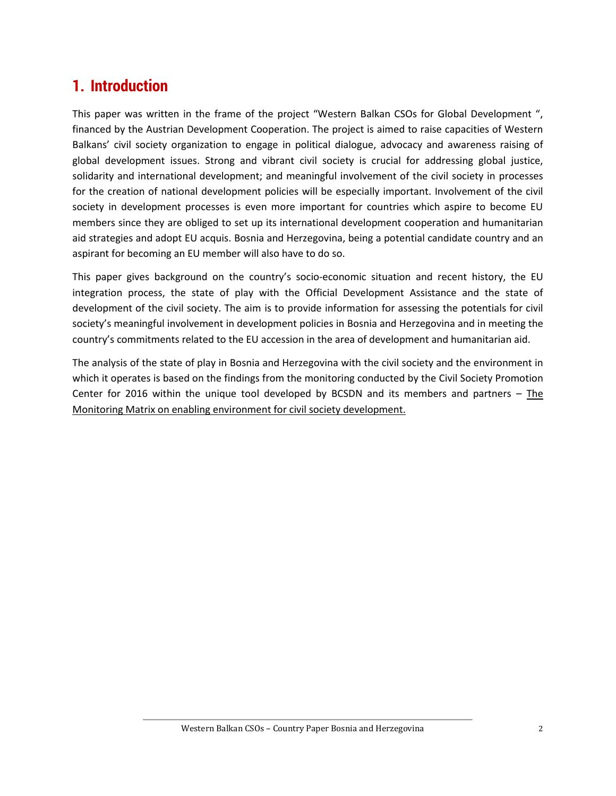## <span id="page-2-0"></span>**1. Introduction**

This paper was written in the frame of the project "Western Balkan CSOs for Global Development ", financed by the Austrian Development Cooperation. The project is aimed to raise capacities of Western Balkans' civil society organization to engage in political dialogue, advocacy and awareness raising of global development issues. Strong and vibrant civil society is crucial for addressing global justice, solidarity and international development; and meaningful involvement of the civil society in processes for the creation of national development policies will be especially important. Involvement of the civil society in development processes is even more important for countries which aspire to become EU members since they are obliged to set up its international development cooperation and humanitarian aid strategies and adopt EU acquis. Bosnia and Herzegovina, being a potential candidate country and an aspirant for becoming an EU member will also have to do so.

This paper gives background on the country's socio-economic situation and recent history, the EU integration process, the state of play with the Official Development Assistance and the state of development of the civil society. The aim is to provide information for assessing the potentials for civil society's meaningful involvement in development policies in Bosnia and Herzegovina and in meeting the country's commitments related to the EU accession in the area of development and humanitarian aid.

The analysis of the state of play in Bosnia and Herzegovina with the civil society and the environment in which it operates is based on the findings from the monitoring conducted by the Civil Society Promotion Center for 2016 within the unique tool developed by BCSDN and its members and partners – [The](https://monitoringmatrix.net/)  [Monitoring Matrix on enabling environment for civil society development.](https://monitoringmatrix.net/)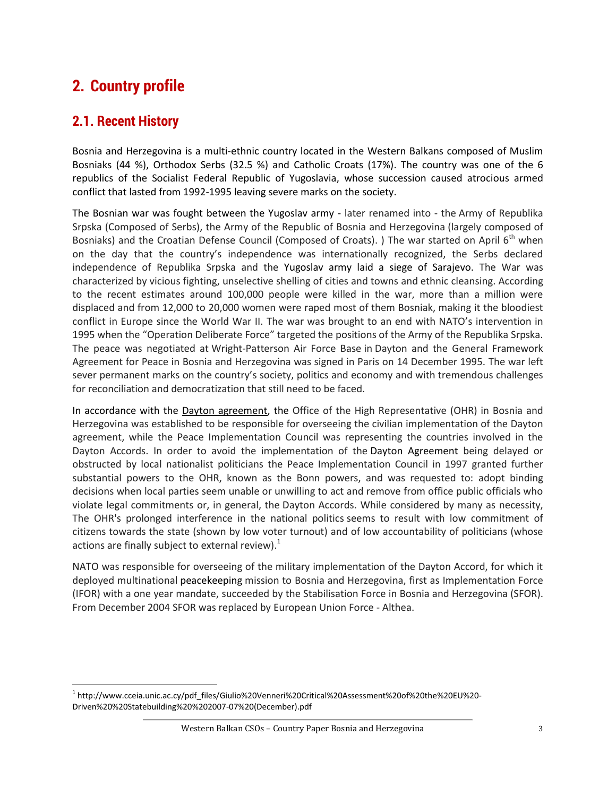## <span id="page-3-0"></span>**2. Country profile**

### <span id="page-3-1"></span>**2.1. Recent History**

l

Bosnia and Herzegovina is a multi-ethnic country located in the Western Balkans composed of Muslim Bosniaks (44 %), Orthodox Serbs (32.5 %) and Catholic Croats (17%). The country was one of the 6 republics of the Socialist Federal Republic of Yugoslavia, whose succession caused atrocious armed conflict that lasted from 1992-1995 leaving severe marks on the society.

The Bosnian war was fought between the Yugoslav army - later renamed into - the Army of Republika Srpska (Composed of Serbs), the Army of the Republic of Bosnia and Herzegovina (largely composed of Bosniaks) and the Croatian Defense Council (Composed of Croats). ) The war started on April 6<sup>th</sup> when on the day that the country's independence was internationally recognized, the Serbs declared independence of Republika Srpska and the Yugoslav army laid a siege of Sarajevo. The War was characterized by vicious fighting, unselective shelling of cities and towns and ethnic cleansing. According to the recent estimates around 100,000 people were killed in the war, more than a million were displaced and from 12,000 to 20,000 women were raped most of them Bosniak, making it the bloodiest conflict in Europe since the World War II. The war was brought to an end with NATO's intervention in 1995 when the "Operation Deliberate Force" targeted the positions of the Army of the Republika Srpska. The peace was negotiated at Wright-Patterson Air Force Base in Dayton and the General Framework Agreement for Peace in Bosnia and Herzegovina was signed in Paris on 14 December 1995. The war left sever permanent marks on the country's society, politics and economy and with tremendous challenges for reconciliation and democratization that still need to be faced.

In accordance with the [Dayton agreement,](https://en.wikipedia.org/wiki/Dayton_agreement) the Office of the High Representative (OHR) in Bosnia and Herzegovina was established to be responsible for overseeing the civilian implementation of the Dayton agreement, while the Peace Implementation Council was representing the countries involved in the Dayton Accords. In order to avoid the implementation of the Dayton Agreement being delayed or obstructed by local nationalist politicians the Peace Implementation Council in 1997 granted further substantial powers to the OHR, known as the Bonn powers, and was requested to: adopt binding decisions when local parties seem unable or unwilling to act and remove from office public officials who violate legal commitments or, in general, the Dayton Accords. While considered by many as necessity, The OHR's prolonged interference in the national politics seems to result with low commitment of citizens towards the state (shown by low voter turnout) and of low accountability of politicians (whose actions are finally subject to external review). $<sup>1</sup>$ </sup>

NATO was responsible for overseeing of the military implementation of the Dayton Accord, for which it deployed multinational peacekeeping mission to Bosnia and Herzegovina, first as Implementation Force (IFOR) with a one year mandate, succeeded by the Stabilisation Force in Bosnia and Herzegovina (SFOR). From December 2004 SFOR was replaced by European Union Force - Althea.

<sup>1</sup> [http://www.cceia.unic.ac.cy/pdf\\_files/Giulio%20Venneri%20Critical%20Assessment%20of%20the%20EU%20-](http://www.cceia.unic.ac.cy/pdf_files/Giulio%20Venneri%20Critical%20Assessment%20of%20the%20EU%20-Driven%20%20Statebuilding%20%202007-07%20(December).pdf) [Driven%20%20Statebuilding%20%202007-07%20\(December\).pdf](http://www.cceia.unic.ac.cy/pdf_files/Giulio%20Venneri%20Critical%20Assessment%20of%20the%20EU%20-Driven%20%20Statebuilding%20%202007-07%20(December).pdf)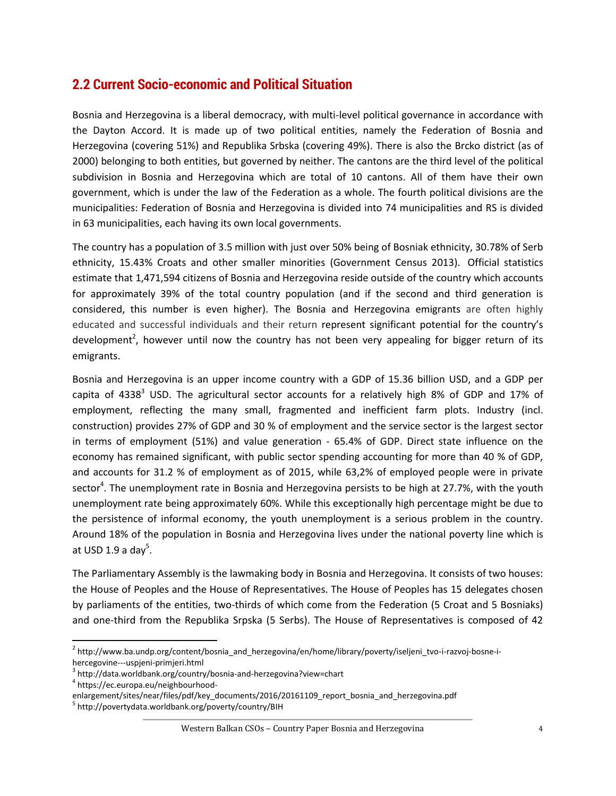### <span id="page-4-0"></span>**2.2 Current Socio-economic and Political Situation**

Bosnia and Herzegovina is a liberal democracy, with multi-level political governance in accordance with the Dayton Accord. It is made up of two political entities, namely the Federation of Bosnia and Herzegovina (covering 51%) and Republika Srbska (covering 49%). There is also the Brcko district (as of 2000) belonging to both entities, but governed by neither. The cantons are the third level of the political subdivision in Bosnia and Herzegovina which are total of 10 cantons. All of them have their own government, which is under the law of the Federation as a whole. The fourth political divisions are the municipalities: Federation of Bosnia and Herzegovina is divided into 74 municipalities and RS is divided in 63 municipalities, each having its own local governments.

The country has a population of 3.5 million with just over 50% being of Bosniak ethnicity, 30.78% of Serb ethnicity, 15.43% Croats and other smaller minorities (Government Census 2013). Official statistics estimate that 1,471,594 citizens of Bosnia and Herzegovina reside outside of the country which accounts for approximately 39% of the total country population (and if the second and third generation is considered, this number is even higher). The Bosnia and Herzegovina emigrants are often highly educated and successful individuals and their return represent significant potential for the country's development<sup>2</sup>, however until now the country has not been very appealing for bigger return of its emigrants.

Bosnia and Herzegovina is an upper income country with a GDP of 15.36 billion USD, and a GDP per capita of 4338<sup>3</sup> USD. The agricultural sector accounts for a relatively high 8% of GDP and 17% of employment, reflecting the many small, fragmented and inefficient farm plots. Industry (incl. construction) provides 27% of GDP and 30 % of employment and the service sector is the largest sector in terms of employment (51%) and value generation - 65.4% of GDP. Direct state influence on the economy has remained significant, with public sector spending accounting for more than 40 % of GDP, and accounts for 31.2 % of employment as of 2015, while 63,2% of employed people were in private sector<sup>4</sup>. The unemployment rate in Bosnia and Herzegovina persists to be high at 27.7%, with the youth unemployment rate being approximately 60%. While this exceptionally high percentage might be due to the persistence of informal economy, the youth unemployment is a serious problem in the country. Around 18% of the population in Bosnia and Herzegovina lives under the national poverty line which is at USD 1.9 a day<sup>5</sup>.

The Parliamentary Assembly is the lawmaking body in Bosnia and Herzegovina. It consists of two houses: the House of Peoples and the House of Representatives. The House of Peoples has 15 delegates chosen by parliaments of the entities, two-thirds of which come from the Federation (5 Croat and 5 Bosniaks) and one-third from the Republika Srpska (5 Serbs). The House of Representatives is composed of 42

<sup>&</sup>lt;sup>2</sup> [http://www.ba.undp.org/content/bosnia\\_and\\_herzegovina/en/home/library/poverty/iseljeni\\_tvo-i-razvoj-bosne-i](http://www.ba.undp.org/content/bosnia_and_herzegovina/en/home/library/poverty/iseljeni_tvo-i-razvoj-bosne-i-hercegovine---uspjeni-primjeri.html)[hercegovine---uspjeni-primjeri.html](http://www.ba.undp.org/content/bosnia_and_herzegovina/en/home/library/poverty/iseljeni_tvo-i-razvoj-bosne-i-hercegovine---uspjeni-primjeri.html)

<sup>3</sup> <http://data.worldbank.org/country/bosnia-and-herzegovina?view=chart>

<sup>4</sup> [https://ec.europa.eu/neighbourhood-](https://ec.europa.eu/neighbourhood-enlargement/sites/near/files/pdf/key_documents/2016/20161109_report_bosnia_and_herzegovina.pdf)

[enlargement/sites/near/files/pdf/key\\_documents/2016/20161109\\_report\\_bosnia\\_and\\_herzegovina.pdf](https://ec.europa.eu/neighbourhood-enlargement/sites/near/files/pdf/key_documents/2016/20161109_report_bosnia_and_herzegovina.pdf)

<sup>&</sup>lt;sup>5</sup> <http://povertydata.worldbank.org/poverty/country/BIH>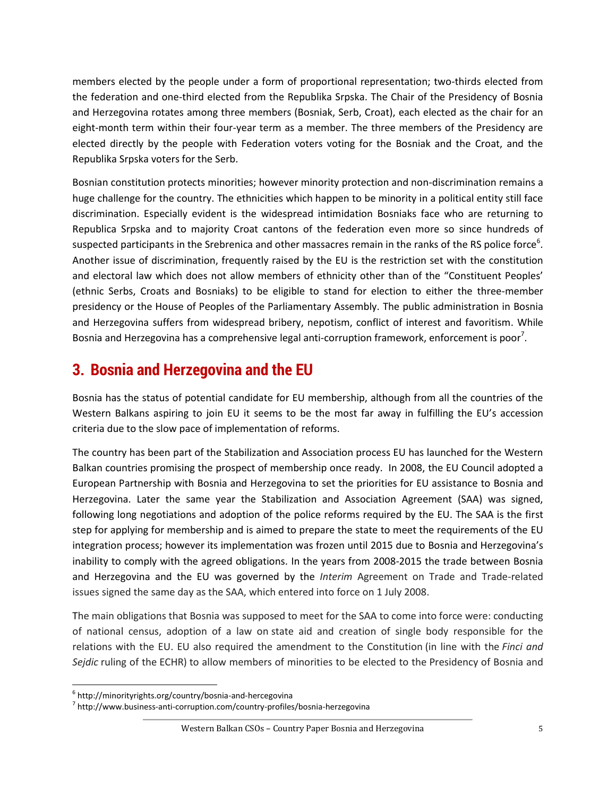members elected by the people under a form of proportional representation; two-thirds elected from the federation and one-third elected from the Republika Srpska. The Chair of the Presidency of Bosnia and Herzegovina rotates among three members (Bosniak, Serb, Croat), each elected as the chair for an eight-month term within their four-year term as a member. The three members of the Presidency are elected directly by the people with Federation voters voting for the Bosniak and the Croat, and the Republika Srpska voters for the Serb.

Bosnian constitution protects minorities; however minority protection and non-discrimination remains a huge challenge for the country. The ethnicities which happen to be minority in a political entity still face discrimination. Especially evident is the widespread intimidation Bosniaks face who are returning to Republica Srpska and to majority Croat cantons of the federation even more so since hundreds of suspected participants in the Srebrenica and other massacres remain in the ranks of the RS police force<sup>6</sup>. Another issue of discrimination, frequently raised by the EU is the restriction set with the constitution and electoral law which does not allow members of ethnicity other than of the "Constituent Peoples' (ethnic Serbs, Croats and Bosniaks) to be eligible to stand for election to either the three-member presidency or the House of Peoples of the Parliamentary Assembly. The public administration in Bosnia and Herzegovina suffers from widespread bribery, nepotism, conflict of interest and favoritism. While Bosnia and Herzegovina has a comprehensive legal anti-corruption framework, enforcement is poor<sup>7</sup>.

## <span id="page-5-0"></span>**3. Bosnia and Herzegovina and the EU**

Bosnia has the status of potential candidate for EU membership, although from all the countries of the Western Balkans aspiring to join EU it seems to be the most far away in fulfilling the EU's accession criteria due to the slow pace of implementation of reforms.

The country has been part of the Stabilization and Association process EU has launched for the Western Balkan countries promising the prospect of membership once ready. In 2008, the EU Council adopted a European Partnership with Bosnia and Herzegovina to set the priorities for EU assistance to Bosnia and Herzegovina. Later the same year the Stabilization and Association Agreement (SAA) was signed, following long negotiations and adoption of the police reforms required by the EU. The SAA is the first step for applying for membership and is aimed to prepare the state to meet the requirements of the EU integration process; however its implementation was frozen until 2015 due to Bosnia and Herzegovina's inability to comply with the agreed obligations. In the years from 2008-2015 the trade between Bosnia and Herzegovina and the EU was governed by the *Interim* Agreement on Trade and Trade-related issues signed the same day as the SAA, which entered into force on 1 July 2008.

The main obligations that Bosnia was supposed to meet for the SAA to come into force were: conducting of national census, adoption of a law on state aid and creation of single body responsible for the relations with the EU. EU also required the amendment to the Constitution (in line with the *Finci and Sejdic* ruling of the ECHR) to allow members of minorities to be elected to the Presidency of Bosnia and

l

<sup>6</sup> <http://minorityrights.org/country/bosnia-and-hercegovina>

<sup>&</sup>lt;sup>7</sup> <http://www.business-anti-corruption.com/country-profiles/bosnia-herzegovina>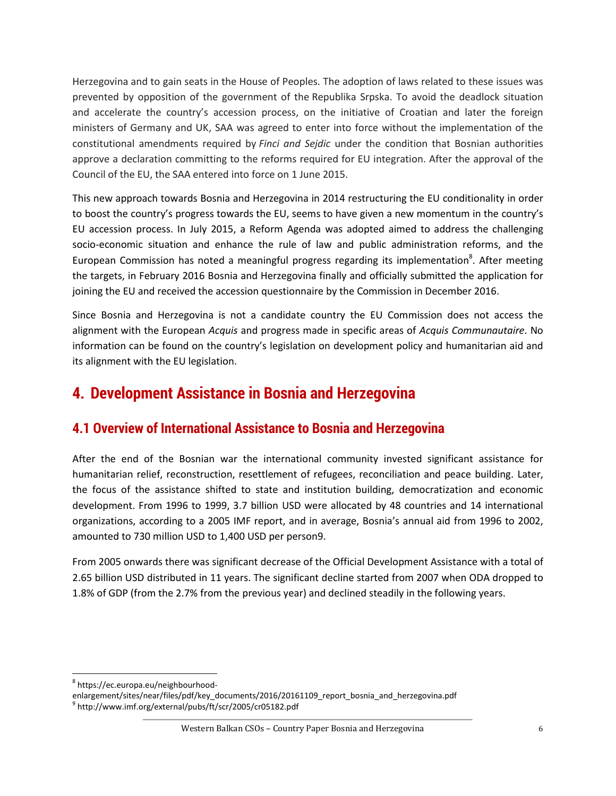Herzegovina and to gain seats in the House of Peoples. The adoption of laws related to these issues was prevented by opposition of the government of the Republika Srpska. To avoid the deadlock situation and accelerate the country's accession process, on the initiative of Croatian and later the foreign ministers of Germany and UK, SAA was agreed to enter into force without the implementation of the constitutional amendments required by *Finci and Sejdic* under the condition that Bosnian authorities approve a declaration committing to the reforms required for EU integration. After the approval of the Council of the EU, the SAA entered into force on 1 June 2015.

This new approach towards Bosnia and Herzegovina in 2014 restructuring the EU conditionality in order to boost the country's progress towards the EU, seems to have given a new momentum in the country's EU accession process. In July 2015, a Reform Agenda was adopted aimed to address the challenging socio-economic situation and enhance the rule of law and public administration reforms, and the European Commission has noted a meaningful progress regarding its implementation<sup>8</sup>. After meeting the targets, in February 2016 Bosnia and Herzegovina finally and officially submitted the application for joining the EU and received the accession questionnaire by the Commission in December 2016.

Since Bosnia and Herzegovina is not a candidate country the EU Commission does not access the alignment with the European *Acquis* and progress made in specific areas of *Acquis Communautaire*. No information can be found on the country's legislation on development policy and humanitarian aid and its alignment with the EU legislation.

## <span id="page-6-0"></span>**4. Development Assistance in Bosnia and Herzegovina**

### <span id="page-6-1"></span>**4.1 Overview of International Assistance to Bosnia and Herzegovina**

After the end of the Bosnian war the international community invested significant assistance for humanitarian relief, reconstruction, resettlement of refugees, reconciliation and peace building. Later, the focus of the assistance shifted to state and institution building, democratization and economic development. From 1996 to 1999, 3.7 billion USD were allocated by 48 countries and 14 international organizations, according to a 2005 IMF report, and in average, Bosnia's annual aid from 1996 to 2002, amounted to 730 million USD to 1,400 USD per person9.

From 2005 onwards there was significant decrease of the Official Development Assistance with a total of 2.65 billion USD distributed in 11 years. The significant decline started from 2007 when ODA dropped to 1.8% of GDP (from the 2.7% from the previous year) and declined steadily in the following years.

<sup>&</sup>lt;sup>8</sup>https://ec.europa.eu/neighbourhood-

enlargement/sites/near/files/pdf/key\_documents/2016/20161109\_report\_bosnia\_and\_herzegovina.pdf 9 <http://www.imf.org/external/pubs/ft/scr/2005/cr05182.pdf>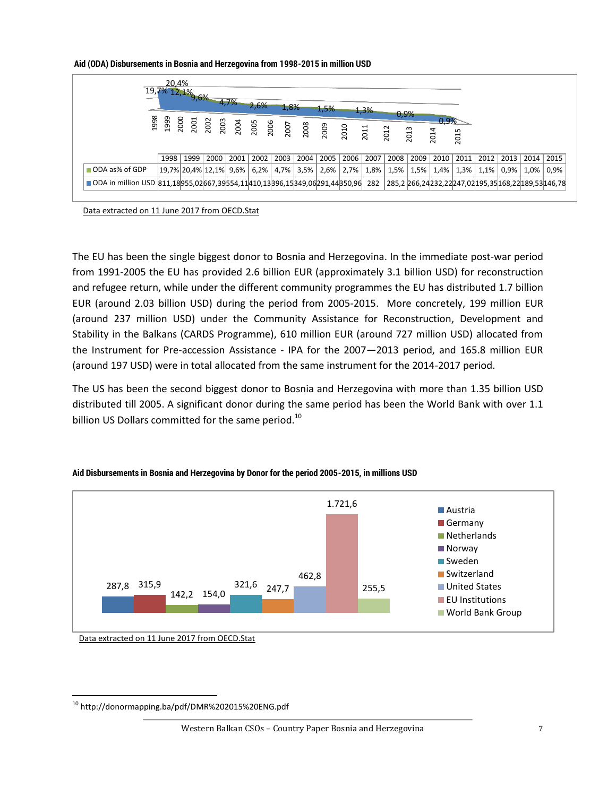#### **Aid (ODA) Disbursements in Bosnia and Herzegovina from 1998-2015 in million USD**

| 20.4%<br>$19,7\%$ $12,1\%$ <sub>9,6</sub> % 4,7%<br>2,6%<br>1,8%<br>1,5%<br>1,3% |      |      |                         |      |      |      |                     |      |      |      |              |      |              |                      |              |                    |                                                  |
|----------------------------------------------------------------------------------|------|------|-------------------------|------|------|------|---------------------|------|------|------|--------------|------|--------------|----------------------|--------------|--------------------|--------------------------------------------------|
|                                                                                  |      |      |                         |      |      |      |                     |      |      |      | 0,9%<br>2012 | 2013 | 0.9%<br>2014 | 2015                 |              |                    |                                                  |
|                                                                                  | 1998 | 1999 | 2000                    | 2001 | 2002 | 2003 | 2004                | 2005 | 2006 | 2007 | 2008         | 2009 | 2010         | $\vert$ 2011 $\vert$ |              | 2012   2013   2014 | 2015                                             |
| ODA as% of GDP                                                                   |      |      | 19,7% 20,4% 12,1%  9,6% |      | 6,2% |      | 4,7% 3,5% 2,6% 2,7% |      |      | 1,8% | 1,5%         | 1,5% | 1,4%         | 1,3%                 | $1,1\%$ 0,9% | 1,0%               | 0,9%                                             |
| ODA in million USD 811,18955,02667,39554,11410,13396,15349,06291,44350,96 282    |      |      |                         |      |      |      |                     |      |      |      |              |      |              |                      |              |                    | 285,2 266,24232,22247,02195,35168,22189,53146,78 |

[Data extracted on 11 June 2017 from OECD.Stat](http://stats.oecd.org/)

The EU has been the single biggest donor to Bosnia and Herzegovina. In the immediate post-war period from 1991-2005 the EU has provided 2.6 billion EUR (approximately 3.1 billion USD) for reconstruction and refugee return, while under the different community programmes the EU has distributed 1.7 billion EUR (around 2.03 billion USD) during the period from 2005-2015. More concretely, 199 million EUR (around 237 million USD) under the Community Assistance for Reconstruction, Development and Stability in the Balkans (CARDS Programme), 610 million EUR (around 727 million USD) allocated from the Instrument for Pre-accession Assistance - IPA for the 2007—2013 period, and 165.8 million EUR (around 197 USD) were in total allocated from the same instrument for the 2014-2017 period.

The US has been the second biggest donor to Bosnia and Herzegovina with more than 1.35 billion USD distributed till 2005. A significant donor during the same period has been the World Bank with over 1.1 billion US Dollars committed for the same period.<sup>10</sup>



#### **Aid Disbursements in Bosnia and Herzegovina by Donor for the period 2005-2015, in millions USD**

[Data extracted on 11 June 2017 from OECD.Stat](http://stats.oecd.org/)

 $^{10}$  http://donormapping.ba/pdf/DMR%202015%20ENG.pdf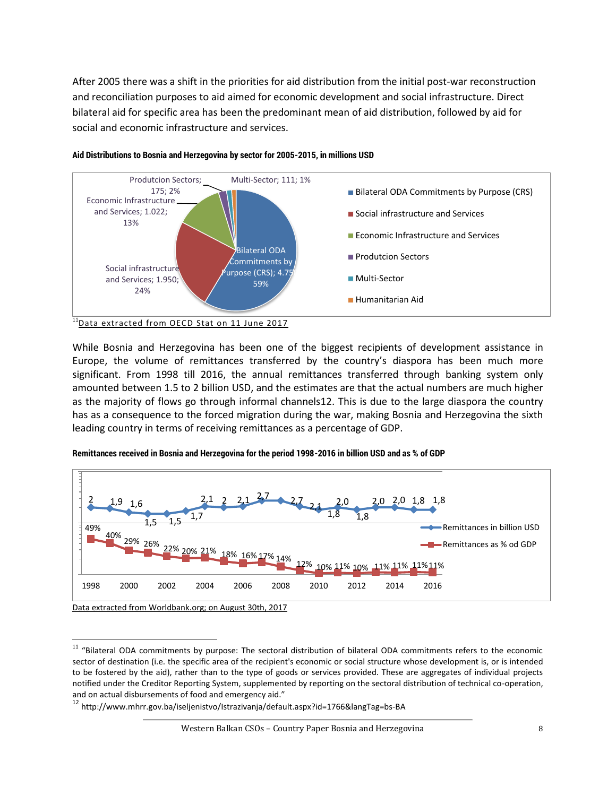After 2005 there was a shift in the priorities for aid distribution from the initial post-war reconstruction and reconciliation purposes to aid aimed for economic development and social infrastructure. Direct bilateral aid for specific area has been the predominant mean of aid distribution, followed by aid for social and economic infrastructure and services.



#### **Aid Distributions to Bosnia and Herzegovina by sector for 2005-2015, in millions USD**

While Bosnia and Herzegovina has been one of the biggest recipients of development assistance in Europe, the volume of remittances transferred by the country's diaspora has been much more significant. From 1998 till 2016, the annual remittances transferred through banking system only amounted between 1.5 to 2 billion USD, and the estimates are that the actual numbers are much higher as the majority of flows go through informal channels12. This is due to the large diaspora the country has as a consequence to the forced migration during the war, making Bosnia and Herzegovina the sixth leading country in terms of receiving remittances as a percentage of GDP.



#### **Remittances received in Bosnia and Herzegovina for the period 1998-2016 in billion USD and as % of GDP**

[Data extracted from Worldbank.org; on August 30th, 2017](https://data.worldbank.org/indicator/BX.TRF.PWKR.CD.DT?locations=BA)

<sup>&</sup>lt;sup>11</sup> "Bilateral ODA commitments by purpose: The sectoral distribution of bilateral ODA commitments refers to the economic sector of destination (i.e. the specific area of the recipient's economic or social structure whose development is, or is intended to be fostered by the aid), rather than to the type of goods or services provided. These are aggregates of individual projects notified under the Creditor Reporting System, supplemented by reporting on the sectoral distribution of technical co-operation, and on actual disbursements of food and emergency aid."

<sup>12</sup> http://www.mhrr.gov.ba/iseljenistvo/Istrazivanja/default.aspx?id=1766&langTag=bs-BA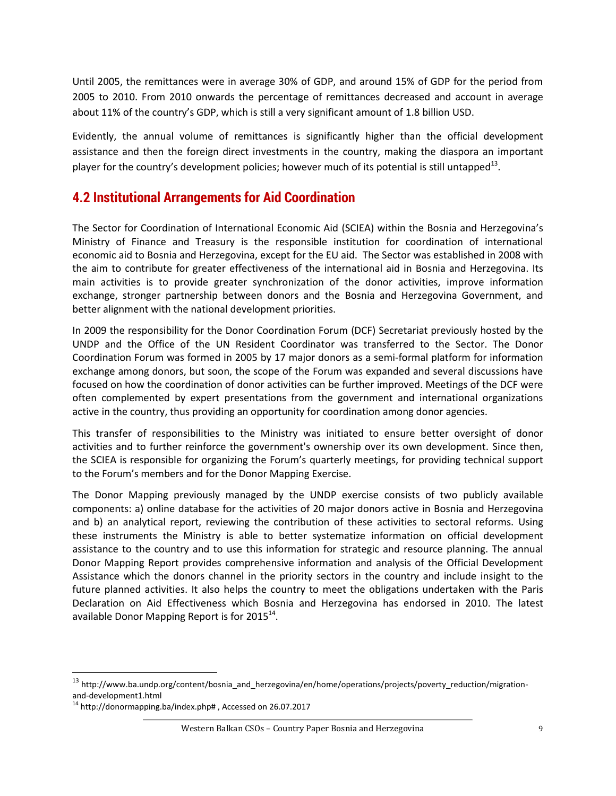Until 2005, the remittances were in average 30% of GDP, and around 15% of GDP for the period from 2005 to 2010. From 2010 onwards the percentage of remittances decreased and account in average about 11% of the country's GDP, which is still a very significant amount of 1.8 billion USD.

Evidently, the annual volume of remittances is significantly higher than the official development assistance and then the foreign direct investments in the country, making the diaspora an important player for the country's development policies; however much of its potential is still untapped<sup>13</sup>.

### <span id="page-9-0"></span>**4.2 Institutional Arrangements for Aid Coordination**

The Sector for Coordination of International Economic Aid (SCIEA) within the Bosnia and Herzegovina's Ministry of Finance and Treasury is the responsible institution for coordination of international economic aid to Bosnia and Herzegovina, except for the EU aid. The Sector was established in 2008 with the aim to contribute for greater effectiveness of the international aid in Bosnia and Herzegovina. Its main activities is to provide greater synchronization of the donor activities, improve information exchange, stronger partnership between donors and the Bosnia and Herzegovina Government, and better alignment with the national development priorities.

In 2009 the responsibility for the Donor Coordination Forum (DCF) Secretariat previously hosted by the UNDP and the Office of the UN Resident Coordinator was transferred to the Sector. The Donor Coordination Forum was formed in 2005 by 17 major donors as a semi-formal platform for information exchange among donors, but soon, the scope of the Forum was expanded and several discussions have focused on how the coordination of donor activities can be further improved. Meetings of the DCF were often complemented by expert presentations from the government and international organizations active in the country, thus providing an opportunity for coordination among donor agencies.

This transfer of responsibilities to the Ministry was initiated to ensure better oversight of donor activities and to further reinforce the government's ownership over its own development. Since then, the SCIEA is responsible for organizing the Forum's quarterly meetings, for providing technical support to the Forum's members and for the Donor Mapping Exercise.

The Donor Mapping previously managed by the UNDP exercise consists of two publicly available components: a) online database for the activities of 20 major donors active in Bosnia and Herzegovina and b) an analytical report, reviewing the contribution of these activities to sectoral reforms. Using these instruments the Ministry is able to better systematize information on official development assistance to the country and to use this information for strategic and resource planning. The annual Donor Mapping Report provides comprehensive information and analysis of the Official Development Assistance which the donors channel in the priority sectors in the country and include insight to the future planned activities. It also helps the country to meet the obligations undertaken with the Paris Declaration on Aid Effectiveness which Bosnia and Herzegovina has endorsed in 2010. The latest available Donor Mapping Report is for 2015<sup>14</sup>.

<sup>13</sup> http://www.ba.undp.org/content/bosnia\_and\_herzegovina/en/home/operations/projects/poverty\_reduction/migrationand-development1.html

<sup>&</sup>lt;sup>14</sup> http://donormapping.ba/index.php#, Accessed on 26.07.2017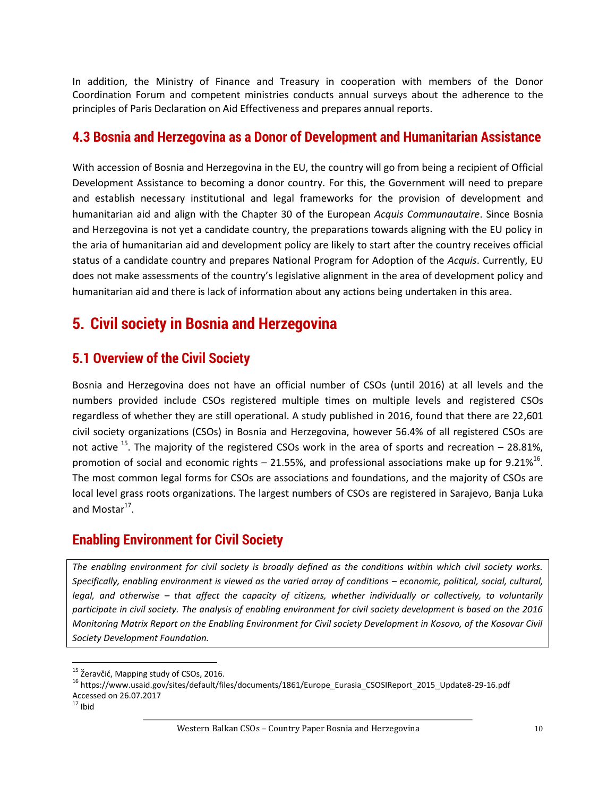In addition, the Ministry of Finance and Treasury in cooperation with members of the Donor Coordination Forum and competent ministries conducts annual surveys about the adherence to the principles of Paris Declaration on Aid Effectiveness and prepares annual reports.

#### <span id="page-10-0"></span>**4.3 Bosnia and Herzegovina as a Donor of Development and Humanitarian Assistance**

With accession of Bosnia and Herzegovina in the EU, the country will go from being a recipient of Official Development Assistance to becoming a donor country. For this, the Government will need to prepare and establish necessary institutional and legal frameworks for the provision of development and humanitarian aid and align with the Chapter 30 of the European *Acquis Communautaire*. Since Bosnia and Herzegovina is not yet a candidate country, the preparations towards aligning with the EU policy in the aria of humanitarian aid and development policy are likely to start after the country receives official status of a candidate country and prepares National Program for Adoption of the *Acquis*. Currently, EU does not make assessments of the country's legislative alignment in the area of development policy and humanitarian aid and there is lack of information about any actions being undertaken in this area.

## <span id="page-10-1"></span>**5. Civil society in Bosnia and Herzegovina**

### <span id="page-10-2"></span>**5.1 Overview of the Civil Society**

Bosnia and Herzegovina does not have an official number of CSOs (until 2016) at all levels and the numbers provided include CSOs registered multiple times on multiple levels and registered CSOs regardless of whether they are still operational. A study published in 2016, found that there are 22,601 civil society organizations (CSOs) in Bosnia and Herzegovina, however 56.4% of all registered CSOs are not active  $^{15}$ . The majority of the registered CSOs work in the area of sports and recreation – 28.81%, promotion of social and economic rights  $-$  21.55%, and professional associations make up for 9.21%<sup>16</sup>. The most common legal forms for CSOs are associations and foundations, and the majority of CSOs are local level grass roots organizations. The largest numbers of CSOs are registered in Sarajevo, Banja Luka and Mostar<sup>17</sup>.

### <span id="page-10-3"></span>**Enabling Environment for Civil Society**

*The enabling environment for civil society is broadly defined as the conditions within which civil society works. Specifically, enabling environment is viewed as the varied array of conditions – economic, political, social, cultural, legal, and otherwise – that affect the capacity of citizens, whether individually or collectively, to voluntarily participate in civil society. The analysis of enabling environment for civil society development is based on the 2016 Monitoring Matrix Report on the Enabling Environment for Civil society Development in Kosovo, of the Kosovar Civil Society Development Foundation.* 

 $\overline{\phantom{a}}$ 

<sup>&</sup>lt;sup>15</sup> Žeravčić, Mapping study of CSOs, 2016.

<sup>16</sup> [https://www.usaid.gov/sites/default/files/documents/1861/Europe\\_Eurasia\\_CSOSIReport\\_2015\\_Update8-29-16.pdf](https://www.usaid.gov/sites/default/files/documents/1861/Europe_Eurasia_CSOSIReport_2015_Update8-29-16.pdf) Accessed on 26.07.2017

 $17$  Ibid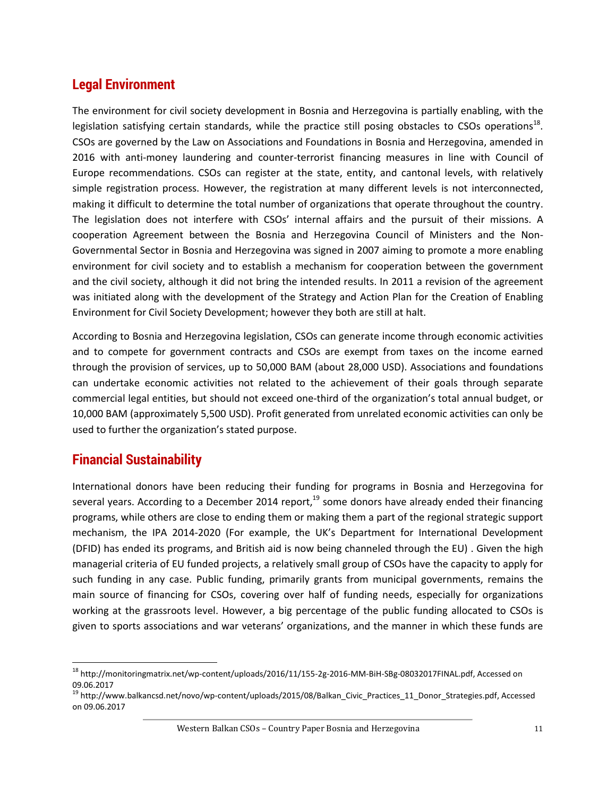### <span id="page-11-0"></span>**Legal Environment**

The environment for civil society development in Bosnia and Herzegovina is partially enabling, with the legislation satisfying certain standards, while the practice still posing obstacles to CSOs operations<sup>18</sup>. CSOs are governed by the Law on Associations and Foundations in Bosnia and Herzegovina, amended in 2016 with anti-money laundering and counter-terrorist financing measures in line with Council of Europe recommendations. CSOs can register at the state, entity, and cantonal levels, with relatively simple registration process. However, the registration at many different levels is not interconnected, making it difficult to determine the total number of organizations that operate throughout the country. The legislation does not interfere with CSOs' internal affairs and the pursuit of their missions. A cooperation Agreement between the Bosnia and Herzegovina Council of Ministers and the Non-Governmental Sector in Bosnia and Herzegovina was signed in 2007 aiming to promote a more enabling environment for civil society and to establish a mechanism for cooperation between the government and the civil society, although it did not bring the intended results. In 2011 a revision of the agreement was initiated along with the development of the Strategy and Action Plan for the Creation of Enabling Environment for Civil Society Development; however they both are still at halt.

According to Bosnia and Herzegovina legislation, CSOs can generate income through economic activities and to compete for government contracts and CSOs are exempt from taxes on the income earned through the provision of services, up to 50,000 BAM (about 28,000 USD). Associations and foundations can undertake economic activities not related to the achievement of their goals through separate commercial legal entities, but should not exceed one-third of the organization's total annual budget, or 10,000 BAM (approximately 5,500 USD). Profit generated from unrelated economic activities can only be used to further the organization's stated purpose.

### <span id="page-11-1"></span>**Financial Sustainability**

 $\overline{\phantom{a}}$ 

International donors have been reducing their funding for programs in Bosnia and Herzegovina for several years. According to a December 2014 report,  $19$  some donors have already ended their financing programs, while others are close to ending them or making them a part of the regional strategic support mechanism, the IPA 2014-2020 (For example, the UK's Department for International Development (DFID) has ended its programs, and British aid is now being channeled through the EU) . Given the high managerial criteria of EU funded projects, a relatively small group of CSOs have the capacity to apply for such funding in any case. Public funding, primarily grants from municipal governments, remains the main source of financing for CSOs, covering over half of funding needs, especially for organizations working at the grassroots level. However, a big percentage of the public funding allocated to CSOs is given to sports associations and war veterans' organizations, and the manner in which these funds are

<sup>18</sup> [http://monitoringmatrix.net/wp-content/uploads/2016/11/155-2g-2016-](http://monitoringmatrix.net/wp-content/uploads/2016/11/155-2g-2016-ММ-BiH-SBg-08032017FINAL.pdf)ММ-BiH-SBg-08032017FINAL.pdf, Accessed on 09.06.2017

<sup>&</sup>lt;sup>19</sup> [http://www.balkancsd.net/novo/wp-content/uploads/2015/08/Balkan\\_Civic\\_Practices\\_11\\_Donor\\_Strategies.pdf,](http://www.balkancsd.net/novo/wp-content/uploads/2015/08/Balkan_Civic_Practices_11_Donor_Strategies.pdf) Accessed on 09.06.2017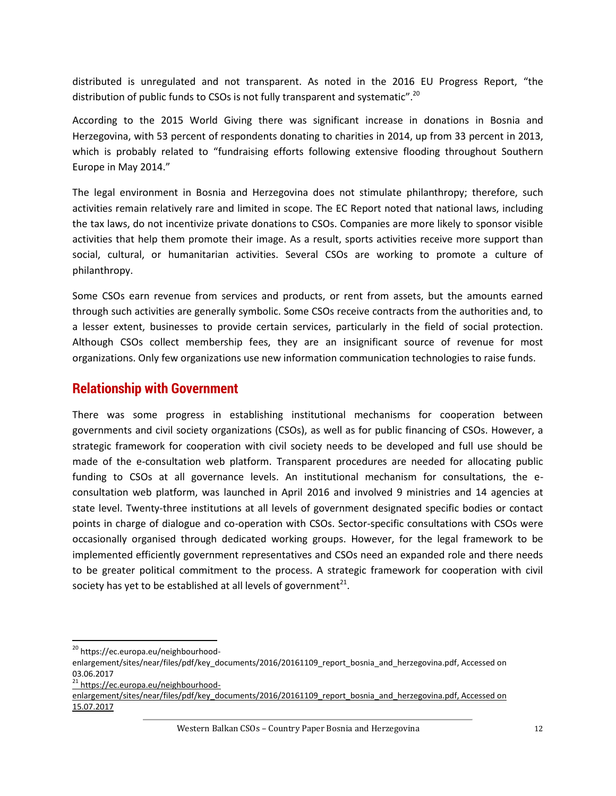distributed is unregulated and not transparent. As noted in the 2016 EU Progress Report, "the distribution of public funds to CSOs is not fully transparent and systematic".<sup>20</sup>

According to the 2015 World Giving there was significant increase in donations in Bosnia and Herzegovina, with 53 percent of respondents donating to charities in 2014, up from 33 percent in 2013, which is probably related to "fundraising efforts following extensive flooding throughout Southern Europe in May 2014."

The legal environment in Bosnia and Herzegovina does not stimulate philanthropy; therefore, such activities remain relatively rare and limited in scope. The EC Report noted that national laws, including the tax laws, do not incentivize private donations to CSOs. Companies are more likely to sponsor visible activities that help them promote their image. As a result, sports activities receive more support than social, cultural, or humanitarian activities. Several CSOs are working to promote a culture of philanthropy.

Some CSOs earn revenue from services and products, or rent from assets, but the amounts earned through such activities are generally symbolic. Some CSOs receive contracts from the authorities and, to a lesser extent, businesses to provide certain services, particularly in the field of social protection. Although CSOs collect membership fees, they are an insignificant source of revenue for most organizations. Only few organizations use new information communication technologies to raise funds.

#### <span id="page-12-0"></span>**Relationship with Government**

There was some progress in establishing institutional mechanisms for cooperation between governments and civil society organizations (CSOs), as well as for public financing of CSOs. However, a strategic framework for cooperation with civil society needs to be developed and full use should be made of the e-consultation web platform. Transparent procedures are needed for allocating public funding to CSOs at all governance levels. An institutional mechanism for consultations, the econsultation web platform, was launched in April 2016 and involved 9 ministries and 14 agencies at state level. Twenty-three institutions at all levels of government designated specific bodies or contact points in charge of dialogue and co-operation with CSOs. Sector-specific consultations with CSOs were occasionally organised through dedicated working groups. However, for the legal framework to be implemented efficiently government representatives and CSOs need an expanded role and there needs to be greater political commitment to the process. A strategic framework for cooperation with civil society has yet to be established at all levels of government<sup>21</sup>.

<sup>&</sup>lt;sup>20</sup> [https://ec.europa.eu/neighbourhood-](https://ec.europa.eu/neighbourhood-enlargement/sites/near/files/pdf/key_documents/2016/20161109_report_bosnia_and_herzegovina.pdf)

[enlargement/sites/near/files/pdf/key\\_documents/2016/20161109\\_report\\_bosnia\\_and\\_herzegovina.pdf,](https://ec.europa.eu/neighbourhood-enlargement/sites/near/files/pdf/key_documents/2016/20161109_report_bosnia_and_herzegovina.pdf) Accessed on 03.06.2017

<sup>&</sup>lt;sup>21</sup> [https://ec.europa.eu/neighbourhood-](https://ec.europa.eu/neighbourhood-enlargement/sites/near/files/pdf/key_documents/2016/20161109_report_bosnia_and_herzegovina.pdf)

[enlargement/sites/near/files/pdf/key\\_documents/2016/20161109\\_report\\_bosnia\\_and\\_herzegovina.pdf,](https://ec.europa.eu/neighbourhood-enlargement/sites/near/files/pdf/key_documents/2016/20161109_report_bosnia_and_herzegovina.pdf) Accessed on 15.07.2017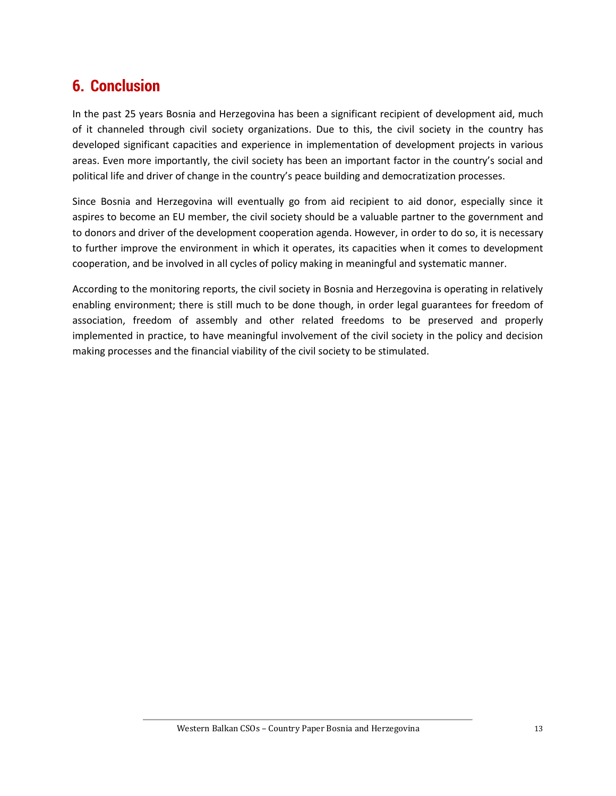## <span id="page-13-0"></span>**6. Conclusion**

In the past 25 years Bosnia and Herzegovina has been a significant recipient of development aid, much of it channeled through civil society organizations. Due to this, the civil society in the country has developed significant capacities and experience in implementation of development projects in various areas. Even more importantly, the civil society has been an important factor in the country's social and political life and driver of change in the country's peace building and democratization processes.

Since Bosnia and Herzegovina will eventually go from aid recipient to aid donor, especially since it aspires to become an EU member, the civil society should be a valuable partner to the government and to donors and driver of the development cooperation agenda. However, in order to do so, it is necessary to further improve the environment in which it operates, its capacities when it comes to development cooperation, and be involved in all cycles of policy making in meaningful and systematic manner.

According to the monitoring reports, the civil society in Bosnia and Herzegovina is operating in relatively enabling environment; there is still much to be done though, in order legal guarantees for freedom of association, freedom of assembly and other related freedoms to be preserved and properly implemented in practice, to have meaningful involvement of the civil society in the policy and decision making processes and the financial viability of the civil society to be stimulated.